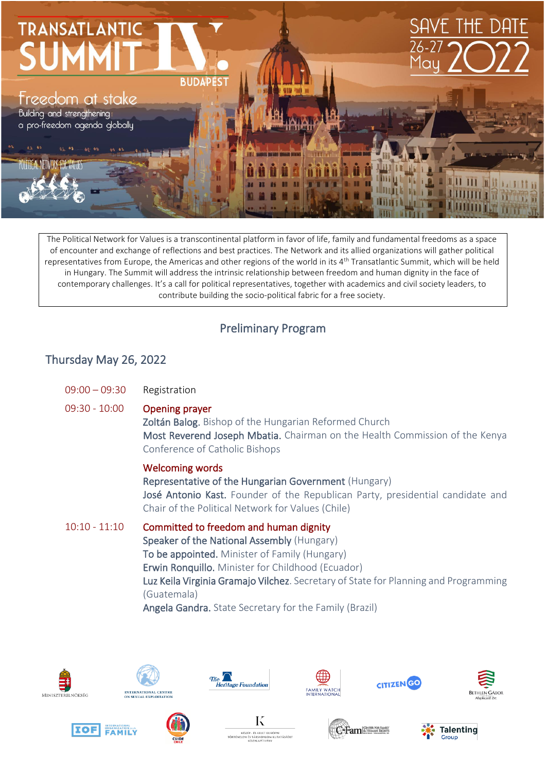

The Political Network for Values is a transcontinental platform in favor of life, family and fundamental freedoms as a space of encounter and exchange of reflections and best practices. The Network and its allied organizations will gather political representatives from Europe, the Americas and other regions of the world in its 4<sup>th</sup> Transatlantic Summit, which will be held in Hungary. The Summit will address the intrinsic relationship between freedom and human dignity in the face of contemporary challenges. It's a call for political representatives, together with academics and civil society leaders, to contribute building the socio-political fabric for a free society.

## Preliminary Program

## Thursday May 26, 2022

| $09:00 - 09:30$ | Registration                                                                                                                                                                                                          |
|-----------------|-----------------------------------------------------------------------------------------------------------------------------------------------------------------------------------------------------------------------|
| $09:30 - 10:00$ | <b>Opening prayer</b><br>Zoltán Balog. Bishop of the Hungarian Reformed Church<br>Most Reverend Joseph Mbatia. Chairman on the Health Commission of the Kenya<br>Conference of Catholic Bishops                       |
|                 | <b>Welcoming words</b><br>Representative of the Hungarian Government (Hungary)<br>José Antonio Kast. Founder of the Republican Party, presidential candidate and<br>Chair of the Political Network for Values (Chile) |

10:10 - 11:10 Committed to freedom and human dignity Speaker of the National Assembly (Hungary) To be appointed. Minister of Family (Hungary) Erwin Ronquillo. Minister for Childhood (Ecuador) Luz Keila Virginia Gramajo Vilchez. Secretary of State for Planning and Programming (Guatemala) Angela Gandra. State Secretary for the Family (Brazil)





















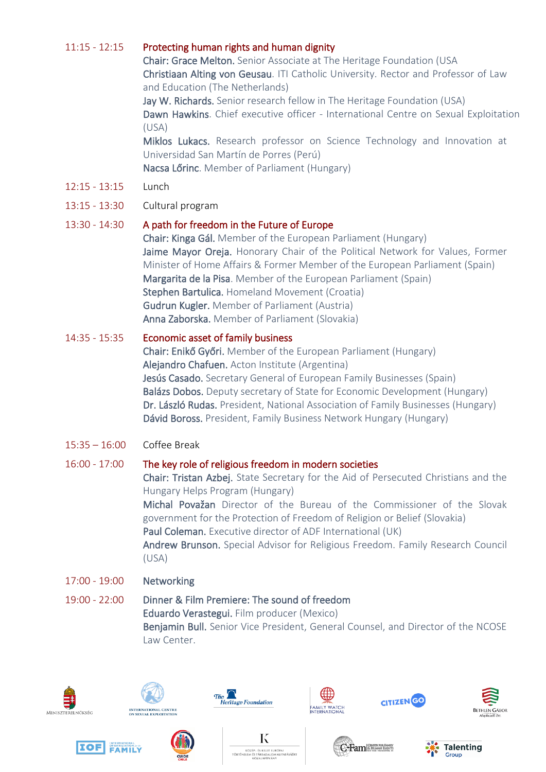### 11:15 - 12:15 Protecting human rights and human dignity

Chair: Grace Melton. Senior Associate at The Heritage Foundation (USA Christiaan Alting von Geusau. ITI Catholic University. Rector and Professor of Law and Education (The Netherlands)

Jay W. Richards. Senior research fellow in The Heritage Foundation (USA) Dawn Hawkins. Chief executive officer - International Centre on Sexual Exploitation (USA)

Miklos Lukacs. Research professor on Science Technology and Innovation at Universidad San Martín de Porres (Perú) Nacsa Lőrinc. Member of Parliament (Hungary)

- 12:15 13:15 Lunch
- 13:15 13:30 Cultural program

#### 13:30 - 14:30 A path for freedom in the Future of Europe

Chair: Kinga Gál. Member of the European Parliament (Hungary) Jaime Mayor Oreja. Honorary Chair of the Political Network for Values, Former Minister of Home Affairs & Former Member of the European Parliament (Spain) Margarita de la Pisa. Member of the European Parliament (Spain) Stephen Bartulica. Homeland Movement (Croatia) Gudrun Kugler. Member of Parliament (Austria) Anna Zaborska. Member of Parliament (Slovakia)

#### 14:35 - 15:35 Economic asset of family business

Chair: Enikő Győri. Member of the European Parliament (Hungary) Alejandro Chafuen. Acton Institute (Argentina) Jesús Casado. Secretary General of European Family Businesses (Spain) Balázs Dobos. Deputy secretary of State for Economic Development (Hungary) Dr. László Rudas. President, National Association of Family Businesses (Hungary) Dávid Boross. President, Family Business Network Hungary (Hungary)

15:35 – 16:00 Coffee Break

#### 16:00 - 17:00 The key role of religious freedom in modern societies

Chair: Tristan Azbej. State Secretary for the Aid of Persecuted Christians and the Hungary Helps Program (Hungary) Michal Považan Director of the Bureau of the Commissioner of the Slovak government for the Protection of Freedom of Religion or Belief (Slovakia)

Paul Coleman. Executive director of ADF International (UK)

Andrew Brunson. Special Advisor for Religious Freedom. Family Research Council (USA)

- 17:00 19:00 Networking
- 19:00 22:00 Dinner & Film Premiere: The sound of freedom Eduardo Verastegui. Film producer (Mexico) Benjamin Bull. Senior Vice President, General Counsel, and Director of the NCOSE Law Center.